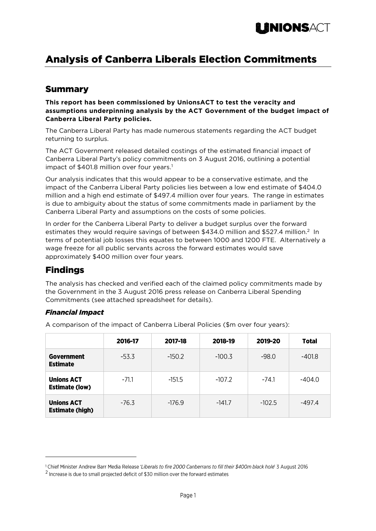

# Analysis of Canberra Liberals Election Commitments

### Summary

**This report has been commissioned by UnionsACT to test the veracity and assumptions underpinning analysis by the ACT Government of the budget impact of Canberra Liberal Party policies.**

The Canberra Liberal Party has made numerous statements regarding the ACT budget returning to surplus.

The ACT Government released detailed costings of the estimated financial impact of Canberra Liberal Party's policy commitments on 3 August 2016, outlining a potential impact of \$401.8 million over four years. 1

Our analysis indicates that this would appear to be a conservative estimate, and the impact of the Canberra Liberal Party policies lies between a low end estimate of \$404.0 million and a high end estimate of \$497.4 million over four years. The range in estimates is due to ambiguity about the status of some commitments made in parliament by the Canberra Liberal Party and assumptions on the costs of some policies.

In order for the Canberra Liberal Party to deliver a budget surplus over the forward estimates they would require savings of between \$434.0 million and \$527.4 million.<sup>2</sup> In terms of potential job losses this equates to between 1000 and 1200 FTE. Alternatively a wage freeze for all public servants across the forward estimates would save approximately \$400 million over four years.

### Findings

 $\overline{a}$ 

The analysis has checked and verified each of the claimed policy commitments made by the Government in the 3 August 2016 press release on Canberra Liberal Spending Commitments (see attached spreadsheet for details).

#### *Financial Impact*

A comparison of the impact of Canberra Liberal Policies (\$m over four years):

|                                             | 2016-17 | 2017-18  | 2018-19  | 2019-20  | <b>Total</b> |
|---------------------------------------------|---------|----------|----------|----------|--------------|
| Government<br><b>Estimate</b>               | $-53.3$ | $-150.2$ | $-100.3$ | $-98.0$  | -401.8       |
| <b>Unions ACT</b><br><b>Estimate (low)</b>  | $-71.1$ | $-151.5$ | $-107.2$ | $-74.1$  | -404.0       |
| <b>Unions ACT</b><br><b>Estimate (high)</b> | $-76.3$ | $-176.9$ | $-141.7$ | $-102.5$ | -497.4       |

<sup>&</sup>lt;sup>1</sup> Chief Minister Andrew Barr Media Release 'Liberals to fire 2000 Canberrans to fill their \$400m black hole' 3 August 2016  $2$  Increase is due to small projected deficit of \$30 million over the forward estimates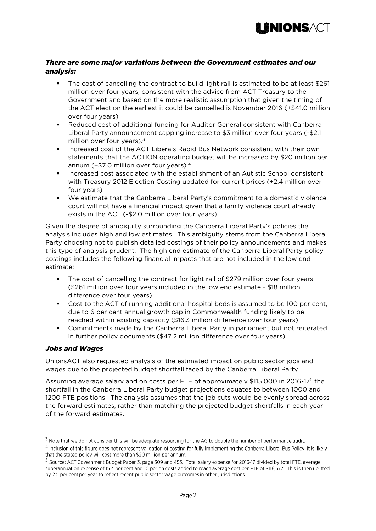

#### *There are some major variations between the Government estimates and our analysis:*

- The cost of cancelling the contract to build light rail is estimated to be at least \$261 million over four years, consistent with the advice from ACT Treasury to the Government and based on the more realistic assumption that given the timing of the ACT election the earliest it could be cancelled is November 2016 (+\$41.0 million over four years).
- Reduced cost of additional funding for Auditor General consistent with Canberra Liberal Party announcement capping increase to \$3 million over four years (-\$2.1 million over four years). 3
- Increased cost of the ACT Liberals Rapid Bus Network consistent with their own statements that the ACTION operating budget will be increased by \$20 million per annum (+\$7.0 million over four years). 4
- Increased cost associated with the establishment of an Autistic School consistent with Treasury 2012 Election Costing updated for current prices (+2.4 million over four years).
- We estimate that the Canberra Liberal Party's commitment to a domestic violence court will not have a financial impact given that a family violence court already exists in the ACT (-\$2.0 million over four years).

Given the degree of ambiguity surrounding the Canberra Liberal Party's policies the analysis includes high and low estimates. This ambiguity stems from the Canberra Liberal Party choosing not to publish detailed costings of their policy announcements and makes this type of analysis prudent. The high end estimate of the Canberra Liberal Party policy costings includes the following financial impacts that are not included in the low end estimate:

- The cost of cancelling the contract for light rail of \$279 million over four years (\$261 million over four years included in the low end estimate - \$18 million difference over four years).
- Cost to the ACT of running additional hospital beds is assumed to be 100 per cent, due to 6 per cent annual growth cap in Commonwealth funding likely to be reached within existing capacity (\$16.3 million difference over four years)
- Commitments made by the Canberra Liberal Party in parliament but not reiterated in further policy documents (\$47.2 million difference over four years).

#### *Jobs and Wages*

 $\overline{a}$ 

UnionsACT also requested analysis of the estimated impact on public sector jobs and wages due to the projected budget shortfall faced by the Canberra Liberal Party.

Assuming average salary and on costs per FTE of approximately \$115,000 in 2016-17<sup>5</sup> the shortfall in the Canberra Liberal Party budget projections equates to between 1000 and 1200 FTE positions. The analysis assumes that the job cuts would be evenly spread across the forward estimates, rather than matching the projected budget shortfalls in each year of the forward estimates.

<sup>&</sup>lt;sup>3</sup> Note that we do not consider this will be adequate resourcing for the AG to double the number of performance audit.

<sup>&</sup>lt;sup>4</sup> Inclusion of this figure does not represent validation of costing for fully implementing the Canberra Liberal Bus Policy. It is likely that the stated policy will cost more than \$20 million per annum.

<sup>&</sup>lt;sup>5</sup> Source: ACT Government Budget Paper 3, page 309 and 453. Total salary expense for 2016-17 divided by total FTE, average superannuation expense of 15.4 per cent and 10 per on costs added to reach average cost per FTE of \$116,577. This is then uplifted by 2.5 per cent per year to reflect recent public sector wage outcomes in other jurisdictions.